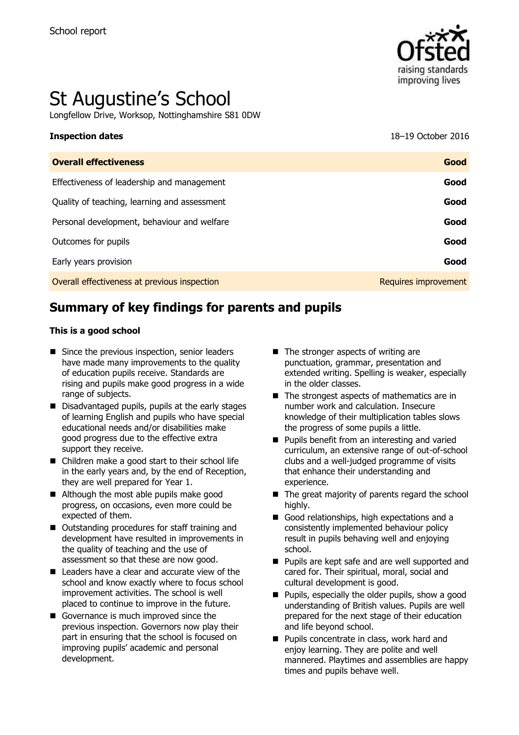

# St Augustine's School

Longfellow Drive, Worksop, Nottinghamshire S81 0DW

**Inspection dates** 18–19 October 2016

| <b>Overall effectiveness</b>                 | Good                 |
|----------------------------------------------|----------------------|
| Effectiveness of leadership and management   | Good                 |
| Quality of teaching, learning and assessment | Good                 |
| Personal development, behaviour and welfare  | Good                 |
| Outcomes for pupils                          | Good                 |
| Early years provision                        | Good                 |
| Overall effectiveness at previous inspection | Requires improvement |
|                                              |                      |

# **Summary of key findings for parents and pupils**

#### **This is a good school**

- Since the previous inspection, senior leaders have made many improvements to the quality of education pupils receive. Standards are rising and pupils make good progress in a wide range of subjects.
- Disadvantaged pupils, pupils at the early stages of learning English and pupils who have special educational needs and/or disabilities make good progress due to the effective extra support they receive.
- Children make a good start to their school life in the early years and, by the end of Reception, they are well prepared for Year 1.
- Although the most able pupils make good progress, on occasions, even more could be expected of them.
- Outstanding procedures for staff training and development have resulted in improvements in the quality of teaching and the use of assessment so that these are now good.
- Leaders have a clear and accurate view of the school and know exactly where to focus school improvement activities. The school is well placed to continue to improve in the future.
- Governance is much improved since the previous inspection. Governors now play their part in ensuring that the school is focused on improving pupils' academic and personal development.
- $\blacksquare$  The stronger aspects of writing are punctuation, grammar, presentation and extended writing. Spelling is weaker, especially in the older classes.
- The strongest aspects of mathematics are in number work and calculation. Insecure knowledge of their multiplication tables slows the progress of some pupils a little.
- **Pupils benefit from an interesting and varied** curriculum, an extensive range of out-of-school clubs and a well-judged programme of visits that enhance their understanding and experience.
- $\blacksquare$  The great majority of parents regard the school highly.
- Good relationships, high expectations and a consistently implemented behaviour policy result in pupils behaving well and enjoying school.
- **Pupils are kept safe and are well supported and** cared for. Their spiritual, moral, social and cultural development is good.
- $\blacksquare$  Pupils, especially the older pupils, show a good understanding of British values. Pupils are well prepared for the next stage of their education and life beyond school.
- **Pupils concentrate in class, work hard and** enjoy learning. They are polite and well mannered. Playtimes and assemblies are happy times and pupils behave well.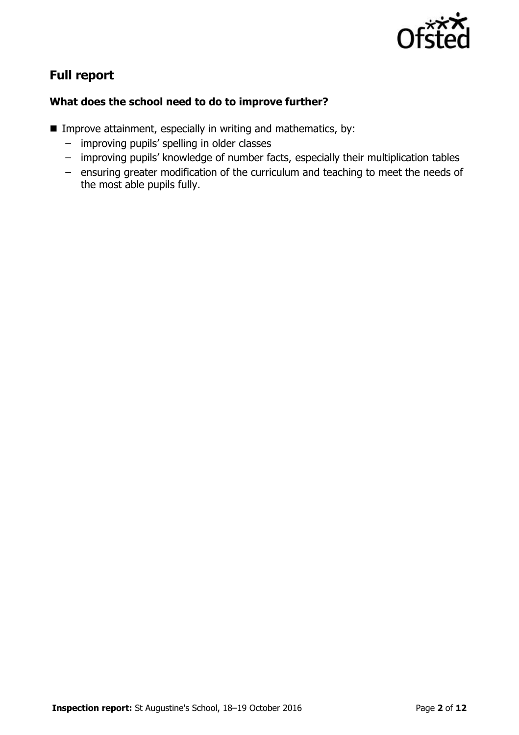

# **Full report**

### **What does the school need to do to improve further?**

- **IMPROVE Attainment, especially in writing and mathematics, by:** 
	- improving pupils' spelling in older classes
	- improving pupils' knowledge of number facts, especially their multiplication tables
	- ensuring greater modification of the curriculum and teaching to meet the needs of the most able pupils fully.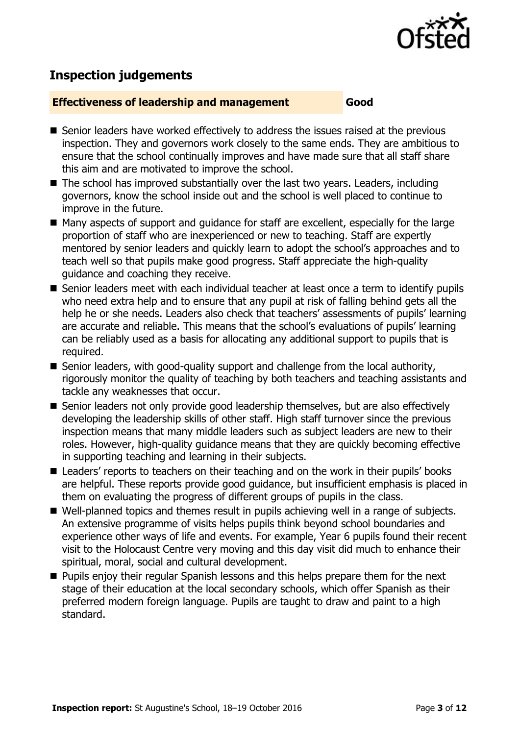

# **Inspection judgements**

#### **Effectiveness of leadership and management Good**

- Senior leaders have worked effectively to address the issues raised at the previous inspection. They and governors work closely to the same ends. They are ambitious to ensure that the school continually improves and have made sure that all staff share this aim and are motivated to improve the school.
- $\blacksquare$  The school has improved substantially over the last two years. Leaders, including governors, know the school inside out and the school is well placed to continue to improve in the future.
- Many aspects of support and quidance for staff are excellent, especially for the large proportion of staff who are inexperienced or new to teaching. Staff are expertly mentored by senior leaders and quickly learn to adopt the school's approaches and to teach well so that pupils make good progress. Staff appreciate the high-quality guidance and coaching they receive.
- Senior leaders meet with each individual teacher at least once a term to identify pupils who need extra help and to ensure that any pupil at risk of falling behind gets all the help he or she needs. Leaders also check that teachers' assessments of pupils' learning are accurate and reliable. This means that the school's evaluations of pupils' learning can be reliably used as a basis for allocating any additional support to pupils that is required.
- Senior leaders, with good-quality support and challenge from the local authority, rigorously monitor the quality of teaching by both teachers and teaching assistants and tackle any weaknesses that occur.
- Senior leaders not only provide good leadership themselves, but are also effectively developing the leadership skills of other staff. High staff turnover since the previous inspection means that many middle leaders such as subject leaders are new to their roles. However, high-quality guidance means that they are quickly becoming effective in supporting teaching and learning in their subjects.
- Leaders' reports to teachers on their teaching and on the work in their pupils' books are helpful. These reports provide good guidance, but insufficient emphasis is placed in them on evaluating the progress of different groups of pupils in the class.
- Well-planned topics and themes result in pupils achieving well in a range of subjects. An extensive programme of visits helps pupils think beyond school boundaries and experience other ways of life and events. For example, Year 6 pupils found their recent visit to the Holocaust Centre very moving and this day visit did much to enhance their spiritual, moral, social and cultural development.
- **Pupils enjoy their regular Spanish lessons and this helps prepare them for the next** stage of their education at the local secondary schools, which offer Spanish as their preferred modern foreign language. Pupils are taught to draw and paint to a high standard.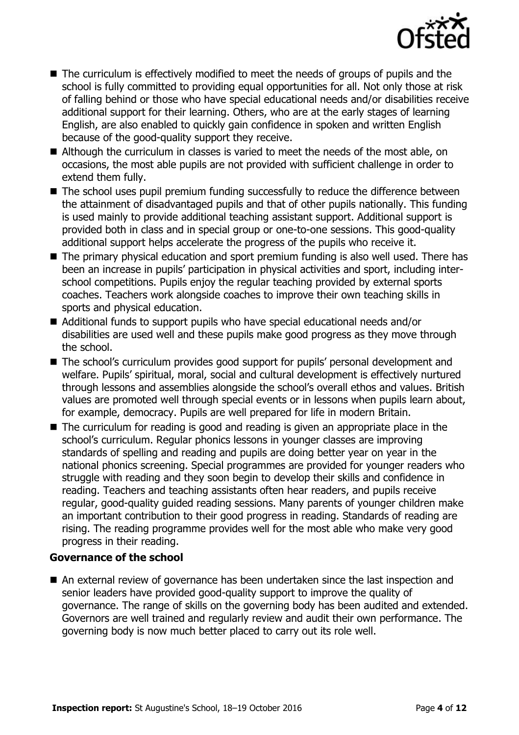

- The curriculum is effectively modified to meet the needs of groups of pupils and the school is fully committed to providing equal opportunities for all. Not only those at risk of falling behind or those who have special educational needs and/or disabilities receive additional support for their learning. Others, who are at the early stages of learning English, are also enabled to quickly gain confidence in spoken and written English because of the good-quality support they receive.
- Although the curriculum in classes is varied to meet the needs of the most able, on occasions, the most able pupils are not provided with sufficient challenge in order to extend them fully.
- The school uses pupil premium funding successfully to reduce the difference between the attainment of disadvantaged pupils and that of other pupils nationally. This funding is used mainly to provide additional teaching assistant support. Additional support is provided both in class and in special group or one-to-one sessions. This good-quality additional support helps accelerate the progress of the pupils who receive it.
- The primary physical education and sport premium funding is also well used. There has been an increase in pupils' participation in physical activities and sport, including interschool competitions. Pupils enjoy the regular teaching provided by external sports coaches. Teachers work alongside coaches to improve their own teaching skills in sports and physical education.
- Additional funds to support pupils who have special educational needs and/or disabilities are used well and these pupils make good progress as they move through the school.
- The school's curriculum provides good support for pupils' personal development and welfare. Pupils' spiritual, moral, social and cultural development is effectively nurtured through lessons and assemblies alongside the school's overall ethos and values. British values are promoted well through special events or in lessons when pupils learn about, for example, democracy. Pupils are well prepared for life in modern Britain.
- The curriculum for reading is good and reading is given an appropriate place in the school's curriculum. Regular phonics lessons in younger classes are improving standards of spelling and reading and pupils are doing better year on year in the national phonics screening. Special programmes are provided for younger readers who struggle with reading and they soon begin to develop their skills and confidence in reading. Teachers and teaching assistants often hear readers, and pupils receive regular, good-quality guided reading sessions. Many parents of younger children make an important contribution to their good progress in reading. Standards of reading are rising. The reading programme provides well for the most able who make very good progress in their reading.

#### **Governance of the school**

 An external review of governance has been undertaken since the last inspection and senior leaders have provided good-quality support to improve the quality of governance. The range of skills on the governing body has been audited and extended. Governors are well trained and regularly review and audit their own performance. The governing body is now much better placed to carry out its role well.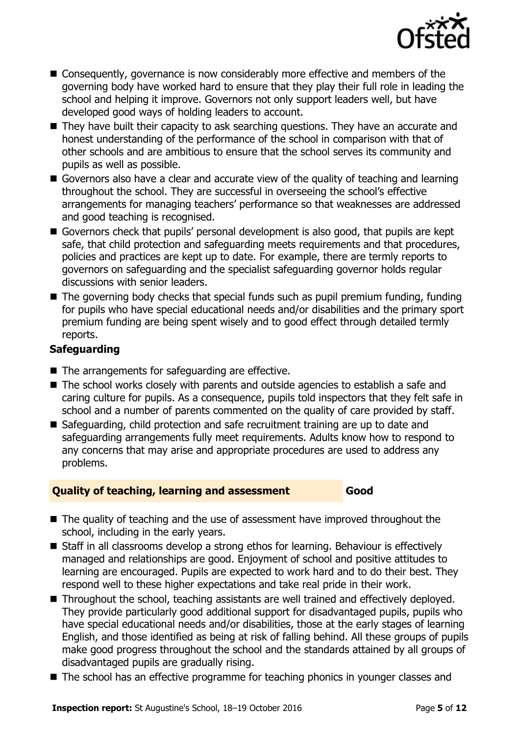

- Consequently, governance is now considerably more effective and members of the governing body have worked hard to ensure that they play their full role in leading the school and helping it improve. Governors not only support leaders well, but have developed good ways of holding leaders to account.
- They have built their capacity to ask searching questions. They have an accurate and honest understanding of the performance of the school in comparison with that of other schools and are ambitious to ensure that the school serves its community and pupils as well as possible.
- Governors also have a clear and accurate view of the quality of teaching and learning throughout the school. They are successful in overseeing the school's effective arrangements for managing teachers' performance so that weaknesses are addressed and good teaching is recognised.
- Governors check that pupils' personal development is also good, that pupils are kept safe, that child protection and safeguarding meets requirements and that procedures, policies and practices are kept up to date. For example, there are termly reports to governors on safeguarding and the specialist safeguarding governor holds regular discussions with senior leaders.
- $\blacksquare$  The governing body checks that special funds such as pupil premium funding, funding for pupils who have special educational needs and/or disabilities and the primary sport premium funding are being spent wisely and to good effect through detailed termly reports.

### **Safeguarding**

- $\blacksquare$  The arrangements for safeguarding are effective.
- The school works closely with parents and outside agencies to establish a safe and caring culture for pupils. As a consequence, pupils told inspectors that they felt safe in school and a number of parents commented on the quality of care provided by staff.
- Safeguarding, child protection and safe recruitment training are up to date and safeguarding arrangements fully meet requirements. Adults know how to respond to any concerns that may arise and appropriate procedures are used to address any problems.

#### **Quality of teaching, learning and assessment Good**

- The quality of teaching and the use of assessment have improved throughout the school, including in the early years.
- Staff in all classrooms develop a strong ethos for learning. Behaviour is effectively managed and relationships are good. Enjoyment of school and positive attitudes to learning are encouraged. Pupils are expected to work hard and to do their best. They respond well to these higher expectations and take real pride in their work.
- Throughout the school, teaching assistants are well trained and effectively deployed. They provide particularly good additional support for disadvantaged pupils, pupils who have special educational needs and/or disabilities, those at the early stages of learning English, and those identified as being at risk of falling behind. All these groups of pupils make good progress throughout the school and the standards attained by all groups of disadvantaged pupils are gradually rising.
- The school has an effective programme for teaching phonics in younger classes and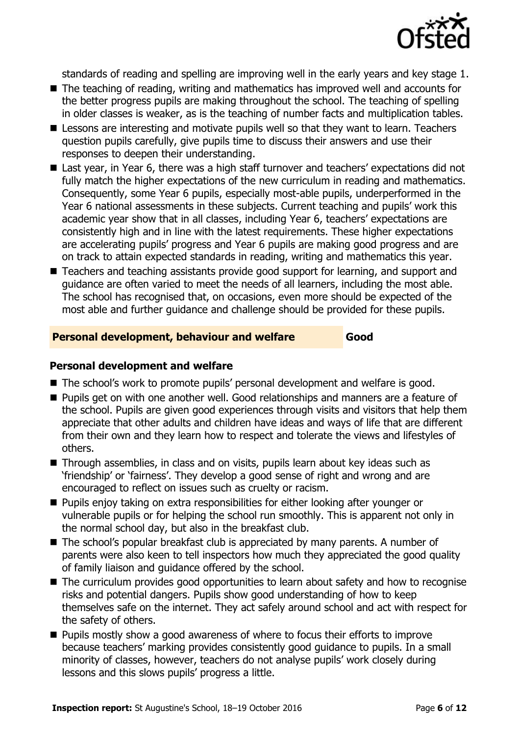

standards of reading and spelling are improving well in the early years and key stage 1.

- The teaching of reading, writing and mathematics has improved well and accounts for the better progress pupils are making throughout the school. The teaching of spelling in older classes is weaker, as is the teaching of number facts and multiplication tables.
- **E** Lessons are interesting and motivate pupils well so that they want to learn. Teachers question pupils carefully, give pupils time to discuss their answers and use their responses to deepen their understanding.
- Last year, in Year 6, there was a high staff turnover and teachers' expectations did not fully match the higher expectations of the new curriculum in reading and mathematics. Consequently, some Year 6 pupils, especially most-able pupils, underperformed in the Year 6 national assessments in these subjects. Current teaching and pupils' work this academic year show that in all classes, including Year 6, teachers' expectations are consistently high and in line with the latest requirements. These higher expectations are accelerating pupils' progress and Year 6 pupils are making good progress and are on track to attain expected standards in reading, writing and mathematics this year.
- Teachers and teaching assistants provide good support for learning, and support and guidance are often varied to meet the needs of all learners, including the most able. The school has recognised that, on occasions, even more should be expected of the most able and further guidance and challenge should be provided for these pupils.

#### **Personal development, behaviour and welfare Good**

#### **Personal development and welfare**

- The school's work to promote pupils' personal development and welfare is good.
- **Pupils get on with one another well. Good relationships and manners are a feature of** the school. Pupils are given good experiences through visits and visitors that help them appreciate that other adults and children have ideas and ways of life that are different from their own and they learn how to respect and tolerate the views and lifestyles of others.
- Through assemblies, in class and on visits, pupils learn about key ideas such as 'friendship' or 'fairness'. They develop a good sense of right and wrong and are encouraged to reflect on issues such as cruelty or racism.
- **Pupils enjoy taking on extra responsibilities for either looking after younger or** vulnerable pupils or for helping the school run smoothly. This is apparent not only in the normal school day, but also in the breakfast club.
- The school's popular breakfast club is appreciated by many parents. A number of parents were also keen to tell inspectors how much they appreciated the good quality of family liaison and guidance offered by the school.
- The curriculum provides good opportunities to learn about safety and how to recognise risks and potential dangers. Pupils show good understanding of how to keep themselves safe on the internet. They act safely around school and act with respect for the safety of others.
- Pupils mostly show a good awareness of where to focus their efforts to improve because teachers' marking provides consistently good guidance to pupils. In a small minority of classes, however, teachers do not analyse pupils' work closely during lessons and this slows pupils' progress a little.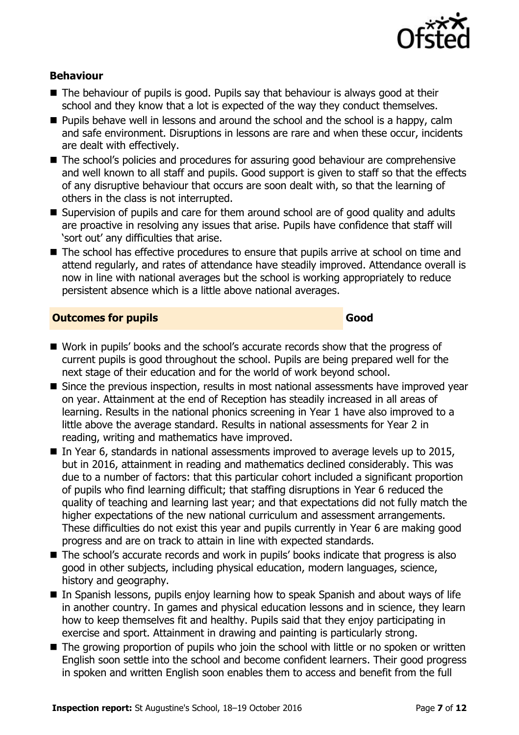

#### **Behaviour**

- The behaviour of pupils is good. Pupils say that behaviour is always good at their school and they know that a lot is expected of the way they conduct themselves.
- **Pupils behave well in lessons and around the school and the school is a happy, calm** and safe environment. Disruptions in lessons are rare and when these occur, incidents are dealt with effectively.
- The school's policies and procedures for assuring good behaviour are comprehensive and well known to all staff and pupils. Good support is given to staff so that the effects of any disruptive behaviour that occurs are soon dealt with, so that the learning of others in the class is not interrupted.
- Supervision of pupils and care for them around school are of good quality and adults are proactive in resolving any issues that arise. Pupils have confidence that staff will 'sort out' any difficulties that arise.
- The school has effective procedures to ensure that pupils arrive at school on time and attend regularly, and rates of attendance have steadily improved. Attendance overall is now in line with national averages but the school is working appropriately to reduce persistent absence which is a little above national averages.

#### **Outcomes for pupils Good**

- Work in pupils' books and the school's accurate records show that the progress of current pupils is good throughout the school. Pupils are being prepared well for the next stage of their education and for the world of work beyond school.
- Since the previous inspection, results in most national assessments have improved vear on year. Attainment at the end of Reception has steadily increased in all areas of learning. Results in the national phonics screening in Year 1 have also improved to a little above the average standard. Results in national assessments for Year 2 in reading, writing and mathematics have improved.
- In Year 6, standards in national assessments improved to average levels up to 2015, but in 2016, attainment in reading and mathematics declined considerably. This was due to a number of factors: that this particular cohort included a significant proportion of pupils who find learning difficult; that staffing disruptions in Year 6 reduced the quality of teaching and learning last year; and that expectations did not fully match the higher expectations of the new national curriculum and assessment arrangements. These difficulties do not exist this year and pupils currently in Year 6 are making good progress and are on track to attain in line with expected standards.
- The school's accurate records and work in pupils' books indicate that progress is also good in other subjects, including physical education, modern languages, science, history and geography.
- In Spanish lessons, pupils enjoy learning how to speak Spanish and about ways of life in another country. In games and physical education lessons and in science, they learn how to keep themselves fit and healthy. Pupils said that they enjoy participating in exercise and sport. Attainment in drawing and painting is particularly strong.
- The growing proportion of pupils who join the school with little or no spoken or written English soon settle into the school and become confident learners. Their good progress in spoken and written English soon enables them to access and benefit from the full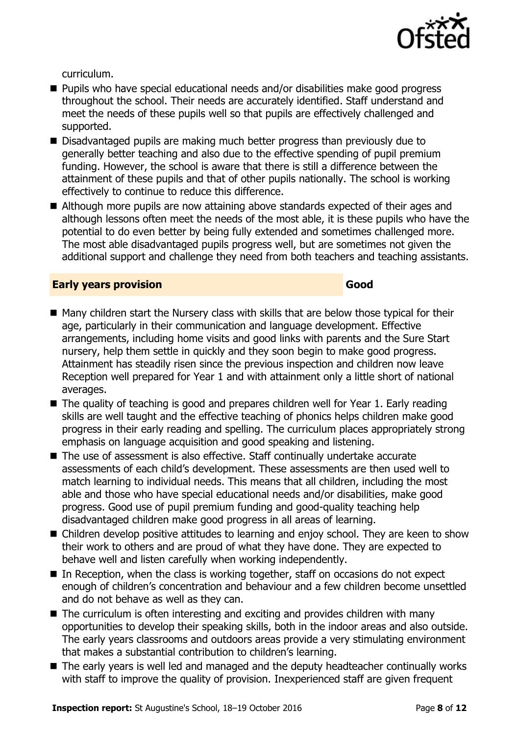

curriculum.

- Pupils who have special educational needs and/or disabilities make good progress throughout the school. Their needs are accurately identified. Staff understand and meet the needs of these pupils well so that pupils are effectively challenged and supported.
- Disadvantaged pupils are making much better progress than previously due to generally better teaching and also due to the effective spending of pupil premium funding. However, the school is aware that there is still a difference between the attainment of these pupils and that of other pupils nationally. The school is working effectively to continue to reduce this difference.
- Although more pupils are now attaining above standards expected of their ages and although lessons often meet the needs of the most able, it is these pupils who have the potential to do even better by being fully extended and sometimes challenged more. The most able disadvantaged pupils progress well, but are sometimes not given the additional support and challenge they need from both teachers and teaching assistants.

#### **Early years provision Good**

- Many children start the Nursery class with skills that are below those typical for their age, particularly in their communication and language development. Effective arrangements, including home visits and good links with parents and the Sure Start nursery, help them settle in quickly and they soon begin to make good progress. Attainment has steadily risen since the previous inspection and children now leave Reception well prepared for Year 1 and with attainment only a little short of national averages.
- The quality of teaching is good and prepares children well for Year 1. Early reading skills are well taught and the effective teaching of phonics helps children make good progress in their early reading and spelling. The curriculum places appropriately strong emphasis on language acquisition and good speaking and listening.
- The use of assessment is also effective. Staff continually undertake accurate assessments of each child's development. These assessments are then used well to match learning to individual needs. This means that all children, including the most able and those who have special educational needs and/or disabilities, make good progress. Good use of pupil premium funding and good-quality teaching help disadvantaged children make good progress in all areas of learning.
- Children develop positive attitudes to learning and enjoy school. They are keen to show their work to others and are proud of what they have done. They are expected to behave well and listen carefully when working independently.
- In Reception, when the class is working together, staff on occasions do not expect enough of children's concentration and behaviour and a few children become unsettled and do not behave as well as they can.
- The curriculum is often interesting and exciting and provides children with many opportunities to develop their speaking skills, both in the indoor areas and also outside. The early years classrooms and outdoors areas provide a very stimulating environment that makes a substantial contribution to children's learning.
- The early years is well led and managed and the deputy headteacher continually works with staff to improve the quality of provision. Inexperienced staff are given frequent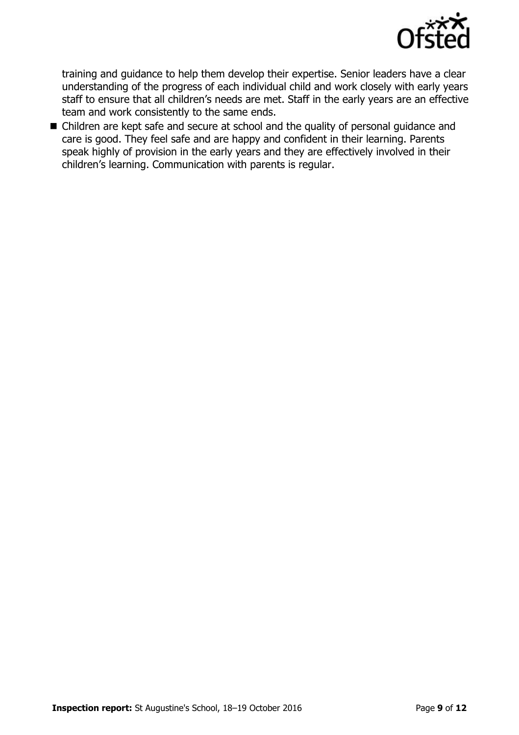

training and guidance to help them develop their expertise. Senior leaders have a clear understanding of the progress of each individual child and work closely with early years staff to ensure that all children's needs are met. Staff in the early years are an effective team and work consistently to the same ends.

■ Children are kept safe and secure at school and the quality of personal guidance and care is good. They feel safe and are happy and confident in their learning. Parents speak highly of provision in the early years and they are effectively involved in their children's learning. Communication with parents is regular.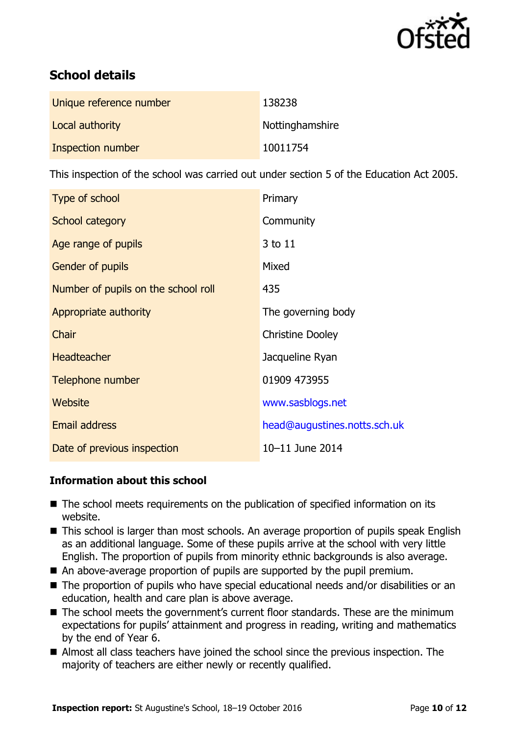

# **School details**

| Unique reference number | 138238          |
|-------------------------|-----------------|
| Local authority         | Nottinghamshire |
| Inspection number       | 10011754        |

This inspection of the school was carried out under section 5 of the Education Act 2005.

| Type of school                      | Primary                      |
|-------------------------------------|------------------------------|
| School category                     | Community                    |
| Age range of pupils                 | 3 to 11                      |
| Gender of pupils                    | Mixed                        |
| Number of pupils on the school roll | 435                          |
| Appropriate authority               | The governing body           |
| Chair                               | <b>Christine Dooley</b>      |
| <b>Headteacher</b>                  | Jacqueline Ryan              |
| Telephone number                    | 01909 473955                 |
| Website                             | www.sasblogs.net             |
| <b>Email address</b>                | head@augustines.notts.sch.uk |
| Date of previous inspection         | 10-11 June 2014              |

#### **Information about this school**

- The school meets requirements on the publication of specified information on its website.
- This school is larger than most schools. An average proportion of pupils speak English as an additional language. Some of these pupils arrive at the school with very little English. The proportion of pupils from minority ethnic backgrounds is also average.
- An above-average proportion of pupils are supported by the pupil premium.
- The proportion of pupils who have special educational needs and/or disabilities or an education, health and care plan is above average.
- The school meets the government's current floor standards. These are the minimum expectations for pupils' attainment and progress in reading, writing and mathematics by the end of Year 6.
- Almost all class teachers have joined the school since the previous inspection. The majority of teachers are either newly or recently qualified.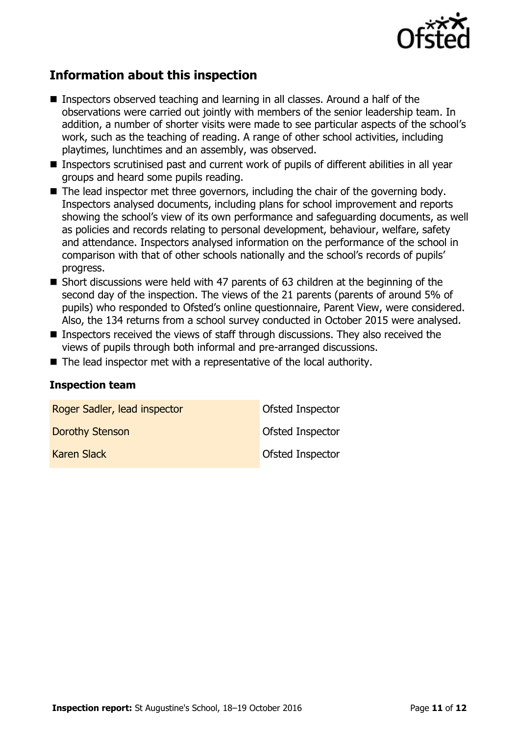

# **Information about this inspection**

- Inspectors observed teaching and learning in all classes. Around a half of the observations were carried out jointly with members of the senior leadership team. In addition, a number of shorter visits were made to see particular aspects of the school's work, such as the teaching of reading. A range of other school activities, including playtimes, lunchtimes and an assembly, was observed.
- Inspectors scrutinised past and current work of pupils of different abilities in all year groups and heard some pupils reading.
- The lead inspector met three governors, including the chair of the governing body. Inspectors analysed documents, including plans for school improvement and reports showing the school's view of its own performance and safeguarding documents, as well as policies and records relating to personal development, behaviour, welfare, safety and attendance. Inspectors analysed information on the performance of the school in comparison with that of other schools nationally and the school's records of pupils' progress.
- Short discussions were held with 47 parents of 63 children at the beginning of the second day of the inspection. The views of the 21 parents (parents of around 5% of pupils) who responded to Ofsted's online questionnaire, Parent View, were considered. Also, the 134 returns from a school survey conducted in October 2015 were analysed.
- Inspectors received the views of staff through discussions. They also received the views of pupils through both informal and pre-arranged discussions.
- The lead inspector met with a representative of the local authority.

#### **Inspection team**

| Roger Sadler, lead inspector | Ofsted Inspector |
|------------------------------|------------------|
| Dorothy Stenson              | Ofsted Inspector |
| <b>Karen Slack</b>           | Ofsted Inspector |